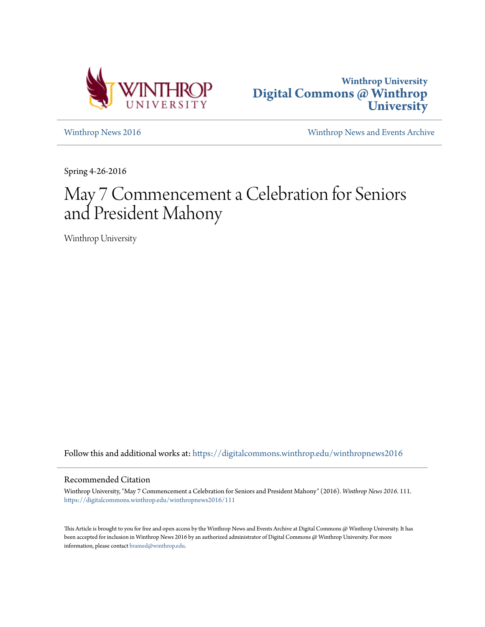



[Winthrop News 2016](https://digitalcommons.winthrop.edu/winthropnews2016?utm_source=digitalcommons.winthrop.edu%2Fwinthropnews2016%2F111&utm_medium=PDF&utm_campaign=PDFCoverPages) [Winthrop News and Events Archive](https://digitalcommons.winthrop.edu/winthropnewsarchives?utm_source=digitalcommons.winthrop.edu%2Fwinthropnews2016%2F111&utm_medium=PDF&utm_campaign=PDFCoverPages)

Spring 4-26-2016

# May 7 Commencement a Celebration for Seniors and President Mahony

Winthrop University

Follow this and additional works at: [https://digitalcommons.winthrop.edu/winthropnews2016](https://digitalcommons.winthrop.edu/winthropnews2016?utm_source=digitalcommons.winthrop.edu%2Fwinthropnews2016%2F111&utm_medium=PDF&utm_campaign=PDFCoverPages)

#### Recommended Citation

Winthrop University, "May 7 Commencement a Celebration for Seniors and President Mahony" (2016). *Winthrop News 2016*. 111. [https://digitalcommons.winthrop.edu/winthropnews2016/111](https://digitalcommons.winthrop.edu/winthropnews2016/111?utm_source=digitalcommons.winthrop.edu%2Fwinthropnews2016%2F111&utm_medium=PDF&utm_campaign=PDFCoverPages)

This Article is brought to you for free and open access by the Winthrop News and Events Archive at Digital Commons @ Winthrop University. It has been accepted for inclusion in Winthrop News 2016 by an authorized administrator of Digital Commons @ Winthrop University. For more information, please contact [bramed@winthrop.edu](mailto:bramed@winthrop.edu).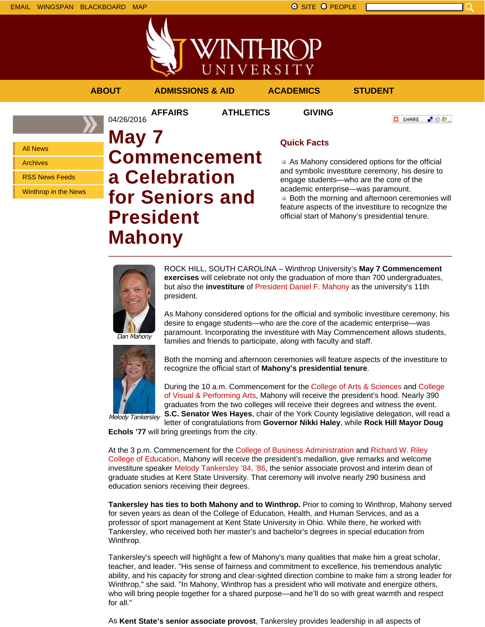

VINTHROP UNIVERSITY **ABOUT ADMISSIONS & AID ACADEMICS STUDENT**

**AFFAIRS ATHLETICS GIVING**

「验費」 **O** SHARE

All News

Archives

RSS News Feeds

Winthrop in the News

# **May 7 Commencement a Celebration for Seniors and President Mahony**

### **Quick Facts**

As Mahony considered options for the official and symbolic investiture ceremony, his desire to engage students—who are the core of the academic enterprise—was paramount. **Both the morning and afternoon ceremonies will** 

feature aspects of the investiture to recognize the official start of Mahony's presidential tenure.



04/26/2016

ROCK HILL, SOUTH CAROLINA – Winthrop University's **May 7 Commencement exercises** will celebrate not only the graduation of more than 700 undergraduates, but also the **investiture** of President Daniel F. Mahony as the university's 11th president.

As Mahony considered options for the official and symbolic investiture ceremony, his desire to engage students—who are the core of the academic enterprise—was paramount. Incorporating the investiture with May Commencement allows students, families and friends to participate, along with faculty and staff.





Both the morning and afternoon ceremonies will feature aspects of the investiture to recognize the official start of **Mahony's presidential tenure**.

During the 10 a.m. Commencement for the College of Arts & Sciences and College of Visual & Performing Arts, Mahony will receive the president's hood. Nearly 390 graduates from the two colleges will receive their degrees and witness the event. **S.C. Senator Wes Hayes**, chair of the York County legislative delegation, will read a

letter of congratulations from **Governor Nikki Haley**, while **Rock Hill Mayor Doug Echols '77** will bring greetings from the city.

At the 3 p.m. Commencement for the College of Business Administration and Richard W. Riley College of Education, Mahony will receive the president's medallion, give remarks and welcome investiture speaker Melody Tankersley '84, '86, the senior associate provost and interim dean of graduate studies at Kent State University. That ceremony will involve nearly 290 business and education seniors receiving their degrees.

**Tankersley has ties to both Mahony and to Winthrop.** Prior to coming to Winthrop, Mahony served for seven years as dean of the College of Education, Health, and Human Services, and as a professor of sport management at Kent State University in Ohio. While there, he worked with Tankersley, who received both her master's and bachelor's degrees in special education from Winthrop.

Tankersley's speech will highlight a few of Mahony's many qualities that make him a great scholar, teacher, and leader. "His sense of fairness and commitment to excellence, his tremendous analytic ability, and his capacity for strong and clear-sighted direction combine to make him a strong leader for Winthrop," she said. "In Mahony, Winthrop has a president who will motivate and energize others, who will bring people together for a shared purpose—and he'll do so with great warmth and respect for all."

As **Kent State's senior associate provost**, Tankersley provides leadership in all aspects of